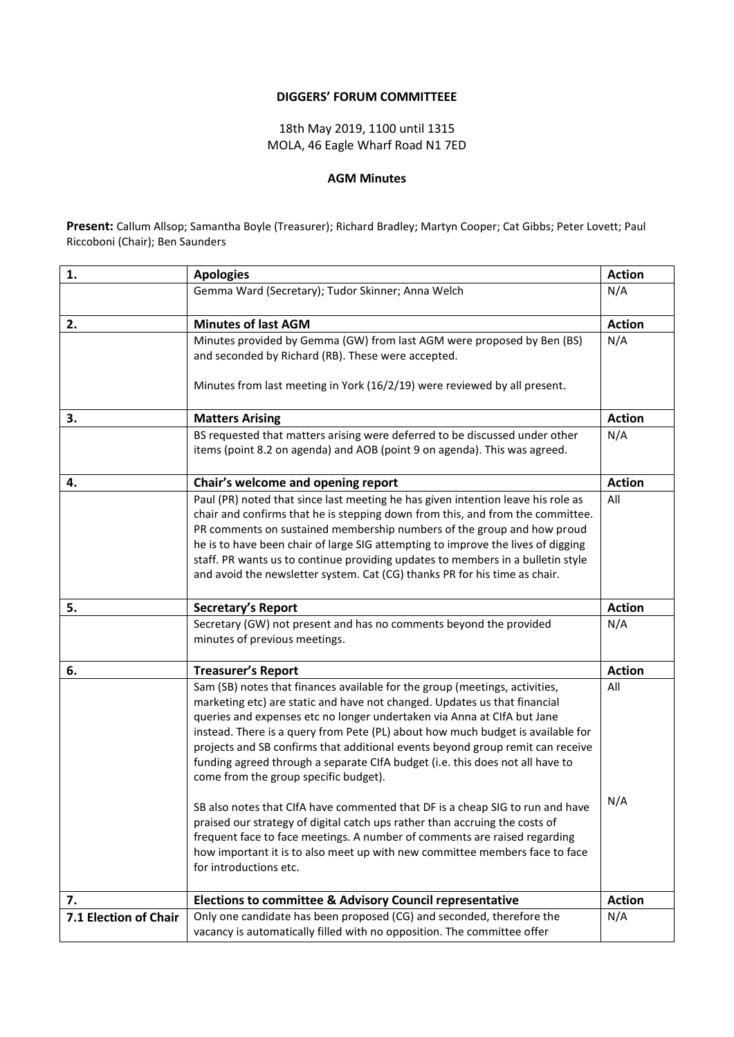## **DIGGERS' FORUM COMMITTEEE**

18th May 2019, 1100 until 1315 MOLA, 46 Eagle Wharf Road N1 7ED

## **AGM Minutes**

**Present:** Callum Allsop; Samantha Boyle (Treasurer); Richard Bradley; Martyn Cooper; Cat Gibbs; Peter Lovett; Paul Riccoboni (Chair); Ben Saunders

| 1.                    | <b>Apologies</b>                                                                                                                                                                                                                                                                                                                                                                                                                                                                                                                                                                                                    | <b>Action</b> |
|-----------------------|---------------------------------------------------------------------------------------------------------------------------------------------------------------------------------------------------------------------------------------------------------------------------------------------------------------------------------------------------------------------------------------------------------------------------------------------------------------------------------------------------------------------------------------------------------------------------------------------------------------------|---------------|
|                       | Gemma Ward (Secretary); Tudor Skinner; Anna Welch                                                                                                                                                                                                                                                                                                                                                                                                                                                                                                                                                                   | N/A           |
| 2.                    | <b>Minutes of last AGM</b>                                                                                                                                                                                                                                                                                                                                                                                                                                                                                                                                                                                          | <b>Action</b> |
|                       | Minutes provided by Gemma (GW) from last AGM were proposed by Ben (BS)<br>and seconded by Richard (RB). These were accepted.<br>Minutes from last meeting in York (16/2/19) were reviewed by all present.                                                                                                                                                                                                                                                                                                                                                                                                           | N/A           |
| 3.                    | <b>Matters Arising</b>                                                                                                                                                                                                                                                                                                                                                                                                                                                                                                                                                                                              | <b>Action</b> |
|                       | BS requested that matters arising were deferred to be discussed under other<br>items (point 8.2 on agenda) and AOB (point 9 on agenda). This was agreed.                                                                                                                                                                                                                                                                                                                                                                                                                                                            | N/A           |
| 4.                    | Chair's welcome and opening report                                                                                                                                                                                                                                                                                                                                                                                                                                                                                                                                                                                  | <b>Action</b> |
|                       | Paul (PR) noted that since last meeting he has given intention leave his role as<br>chair and confirms that he is stepping down from this, and from the committee.<br>PR comments on sustained membership numbers of the group and how proud<br>he is to have been chair of large SIG attempting to improve the lives of digging<br>staff. PR wants us to continue providing updates to members in a bulletin style<br>and avoid the newsletter system. Cat (CG) thanks PR for his time as chair.                                                                                                                   | All           |
| 5.                    | Secretary's Report                                                                                                                                                                                                                                                                                                                                                                                                                                                                                                                                                                                                  | <b>Action</b> |
|                       | Secretary (GW) not present and has no comments beyond the provided<br>minutes of previous meetings.                                                                                                                                                                                                                                                                                                                                                                                                                                                                                                                 | N/A           |
| 6.                    | <b>Treasurer's Report</b>                                                                                                                                                                                                                                                                                                                                                                                                                                                                                                                                                                                           | <b>Action</b> |
|                       | Sam (SB) notes that finances available for the group (meetings, activities,<br>marketing etc) are static and have not changed. Updates us that financial<br>queries and expenses etc no longer undertaken via Anna at CIfA but Jane<br>instead. There is a query from Pete (PL) about how much budget is available for<br>projects and SB confirms that additional events beyond group remit can receive<br>funding agreed through a separate CIfA budget (i.e. this does not all have to<br>come from the group specific budget).<br>SB also notes that CIfA have commented that DF is a cheap SIG to run and have | All<br>N/A    |
|                       | praised our strategy of digital catch ups rather than accruing the costs of<br>frequent face to face meetings. A number of comments are raised regarding<br>how important it is to also meet up with new committee members face to face<br>for introductions etc.                                                                                                                                                                                                                                                                                                                                                   |               |
| 7.                    | <b>Elections to committee &amp; Advisory Council representative</b>                                                                                                                                                                                                                                                                                                                                                                                                                                                                                                                                                 | <b>Action</b> |
| 7.1 Election of Chair | Only one candidate has been proposed (CG) and seconded, therefore the<br>vacancy is automatically filled with no opposition. The committee offer                                                                                                                                                                                                                                                                                                                                                                                                                                                                    | N/A           |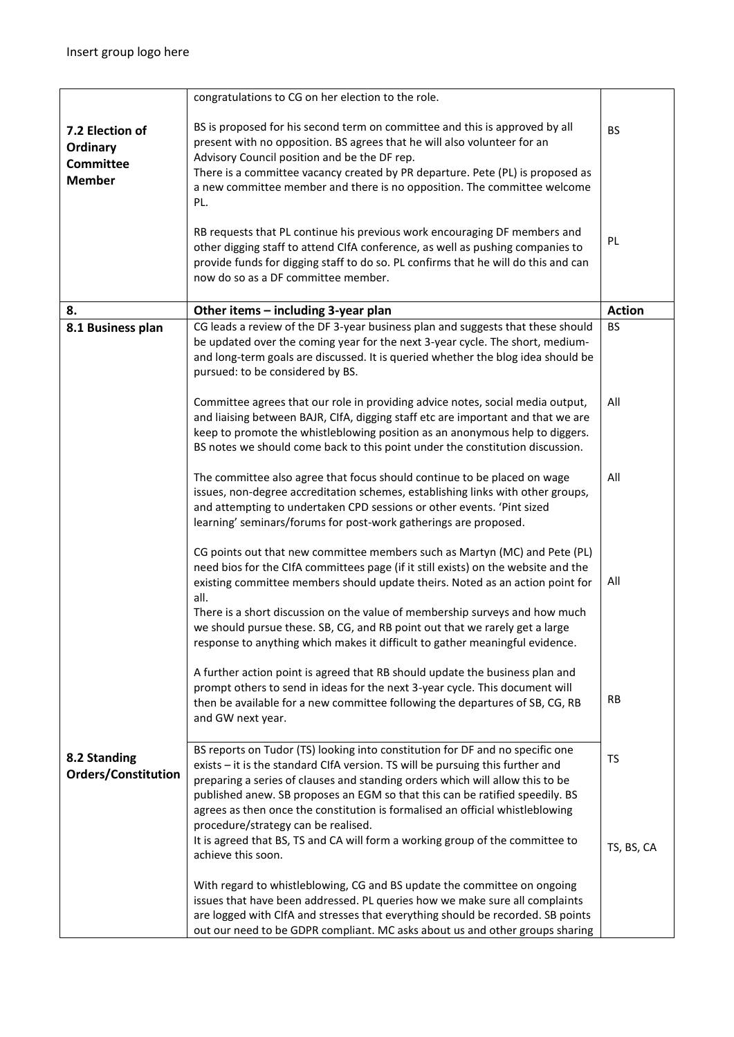|                                                                  | congratulations to CG on her election to the role.                                                                                                                                                                                                                                                                                                                                                                                                                                                                                                                                      |                 |
|------------------------------------------------------------------|-----------------------------------------------------------------------------------------------------------------------------------------------------------------------------------------------------------------------------------------------------------------------------------------------------------------------------------------------------------------------------------------------------------------------------------------------------------------------------------------------------------------------------------------------------------------------------------------|-----------------|
| 7.2 Election of<br>Ordinary<br><b>Committee</b><br><b>Member</b> | BS is proposed for his second term on committee and this is approved by all<br>present with no opposition. BS agrees that he will also volunteer for an<br>Advisory Council position and be the DF rep.<br>There is a committee vacancy created by PR departure. Pete (PL) is proposed as<br>a new committee member and there is no opposition. The committee welcome<br>PL.<br>RB requests that PL continue his previous work encouraging DF members and                                                                                                                               | <b>BS</b><br>PL |
|                                                                  | other digging staff to attend CIfA conference, as well as pushing companies to<br>provide funds for digging staff to do so. PL confirms that he will do this and can<br>now do so as a DF committee member.                                                                                                                                                                                                                                                                                                                                                                             |                 |
| 8.                                                               | Other items - including 3-year plan                                                                                                                                                                                                                                                                                                                                                                                                                                                                                                                                                     | <b>Action</b>   |
| 8.1 Business plan                                                | CG leads a review of the DF 3-year business plan and suggests that these should<br>be updated over the coming year for the next 3-year cycle. The short, medium-<br>and long-term goals are discussed. It is queried whether the blog idea should be<br>pursued: to be considered by BS.                                                                                                                                                                                                                                                                                                | BS              |
|                                                                  | Committee agrees that our role in providing advice notes, social media output,<br>and liaising between BAJR, CIfA, digging staff etc are important and that we are<br>keep to promote the whistleblowing position as an anonymous help to diggers.<br>BS notes we should come back to this point under the constitution discussion.                                                                                                                                                                                                                                                     | All             |
|                                                                  | The committee also agree that focus should continue to be placed on wage<br>issues, non-degree accreditation schemes, establishing links with other groups,<br>and attempting to undertaken CPD sessions or other events. 'Pint sized<br>learning' seminars/forums for post-work gatherings are proposed.                                                                                                                                                                                                                                                                               | All             |
|                                                                  | CG points out that new committee members such as Martyn (MC) and Pete (PL)<br>need bios for the CIfA committees page (if it still exists) on the website and the<br>existing committee members should update theirs. Noted as an action point for<br>all.<br>There is a short discussion on the value of membership surveys and how much<br>we should pursue these. SB, CG, and RB point out that we rarely get a large<br>response to anything which makes it difficult to gather meaningful evidence.<br>A further action point is agreed that RB should update the business plan and | All             |
|                                                                  | prompt others to send in ideas for the next 3-year cycle. This document will<br>then be available for a new committee following the departures of SB, CG, RB<br>and GW next year.                                                                                                                                                                                                                                                                                                                                                                                                       | <b>RB</b>       |
| 8.2 Standing<br><b>Orders/Constitution</b>                       | BS reports on Tudor (TS) looking into constitution for DF and no specific one<br>exists - it is the standard ClfA version. TS will be pursuing this further and<br>preparing a series of clauses and standing orders which will allow this to be<br>published anew. SB proposes an EGM so that this can be ratified speedily. BS<br>agrees as then once the constitution is formalised an official whistleblowing<br>procedure/strategy can be realised.                                                                                                                                | <b>TS</b>       |
|                                                                  | It is agreed that BS, TS and CA will form a working group of the committee to<br>achieve this soon.<br>With regard to whistleblowing, CG and BS update the committee on ongoing<br>issues that have been addressed. PL queries how we make sure all complaints<br>are logged with CIfA and stresses that everything should be recorded. SB points<br>out our need to be GDPR compliant. MC asks about us and other groups sharing                                                                                                                                                       | TS, BS, CA      |